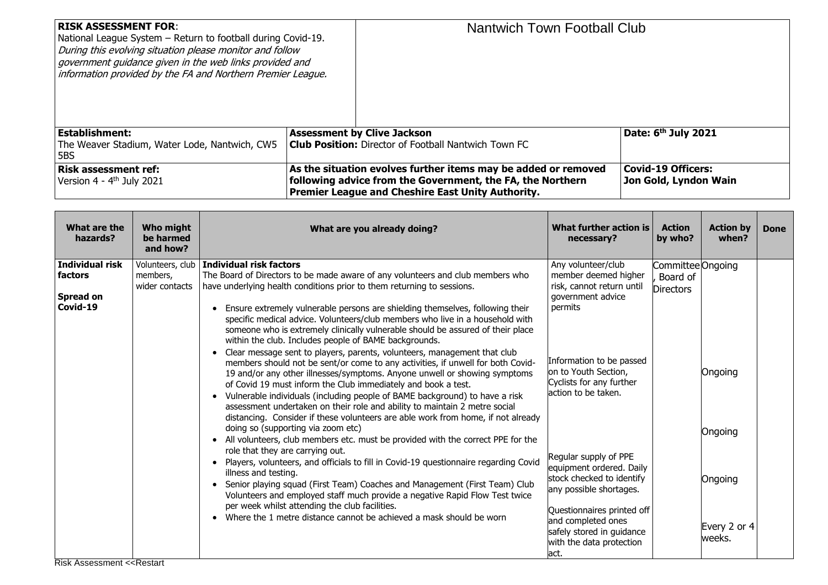| <b>RISK ASSESSMENT FOR:</b><br>National League System - Return to football during Covid-19.<br>During this evolving situation please monitor and follow<br>government guidance given in the web links provided and<br>information provided by the FA and Northern Premier League. | <b>Nantwich Town Football Club</b>                                                                                                                                                       |                                                    |
|-----------------------------------------------------------------------------------------------------------------------------------------------------------------------------------------------------------------------------------------------------------------------------------|------------------------------------------------------------------------------------------------------------------------------------------------------------------------------------------|----------------------------------------------------|
| Establishment:                                                                                                                                                                                                                                                                    | <b>Assessment by Clive Jackson</b>                                                                                                                                                       | Date: 6 <sup>th</sup> July 2021                    |
| The Weaver Stadium, Water Lode, Nantwich, CW5<br>5BS                                                                                                                                                                                                                              | <b>Club Position: Director of Football Nantwich Town FC</b>                                                                                                                              |                                                    |
| Risk assessment ref:<br>Version 4 - $4^{\text{th}}$ July 2021                                                                                                                                                                                                                     | As the situation evolves further items may be added or removed<br>following advice from the Government, the FA, the Northern<br><b>Premier League and Cheshire East Unity Authority.</b> | <b>Covid-19 Officers:</b><br>Jon Gold, Lyndon Wain |

| What are the<br>hazards?                            | Who might<br>be harmed<br>and how?             | What are you already doing?                                                                                                                                                                                                                                                                                                                                                                                                                                                                                                                                                                                                                                                                                                                                                                                                                                                                                                                                                                                                                                                                                        | What further action is<br>necessary?                                                                                                                                                                                           | <b>Action</b><br>by who?                          | <b>Action by</b><br>when?         | <b>Done</b> |
|-----------------------------------------------------|------------------------------------------------|--------------------------------------------------------------------------------------------------------------------------------------------------------------------------------------------------------------------------------------------------------------------------------------------------------------------------------------------------------------------------------------------------------------------------------------------------------------------------------------------------------------------------------------------------------------------------------------------------------------------------------------------------------------------------------------------------------------------------------------------------------------------------------------------------------------------------------------------------------------------------------------------------------------------------------------------------------------------------------------------------------------------------------------------------------------------------------------------------------------------|--------------------------------------------------------------------------------------------------------------------------------------------------------------------------------------------------------------------------------|---------------------------------------------------|-----------------------------------|-------------|
| Individual risk<br>factors<br>Spread on<br>Covid-19 | Volunteers, club<br>members,<br>wider contacts | Individual risk factors<br>The Board of Directors to be made aware of any volunteers and club members who<br>have underlying health conditions prior to them returning to sessions.<br>Ensure extremely vulnerable persons are shielding themselves, following their<br>specific medical advice. Volunteers/club members who live in a household with<br>someone who is extremely clinically vulnerable should be assured of their place<br>within the club. Includes people of BAME backgrounds.<br>Clear message sent to players, parents, volunteers, management that club<br>members should not be sent/or come to any activities, if unwell for both Covid-<br>19 and/or any other illnesses/symptoms. Anyone unwell or showing symptoms<br>of Covid 19 must inform the Club immediately and book a test.<br>Vulnerable individuals (including people of BAME background) to have a risk<br>$\bullet$<br>assessment undertaken on their role and ability to maintain 2 metre social<br>distancing. Consider if these volunteers are able work from home, if not already<br>doing so (supporting via zoom etc) | Any volunteer/club<br>member deemed higher<br>risk, cannot return until<br>government advice<br>permits<br>Information to be passed<br>on to Youth Section,<br>Cyclists for any further<br>action to be taken.                 | Committee Ongoing<br>Board of<br><b>Directors</b> | Ongoing<br>Ongoing                |             |
|                                                     |                                                | • All volunteers, club members etc. must be provided with the correct PPE for the<br>role that they are carrying out.<br>• Players, volunteers, and officials to fill in Covid-19 questionnaire regarding Covid<br>illness and testing.<br>Senior playing squad (First Team) Coaches and Management (First Team) Club<br>$\bullet$<br>Volunteers and employed staff much provide a negative Rapid Flow Test twice<br>per week whilst attending the club facilities.<br>Where the 1 metre distance cannot be achieved a mask should be worn<br>$\bullet$                                                                                                                                                                                                                                                                                                                                                                                                                                                                                                                                                            | Regular supply of PPE<br>equipment ordered. Daily<br>stock checked to identify<br>any possible shortages.<br>Questionnaires printed off<br>and completed ones<br>safely stored in guidance<br>with the data protection<br>act. |                                                   | Ongoing<br>Every 2 or 4<br>weeks. |             |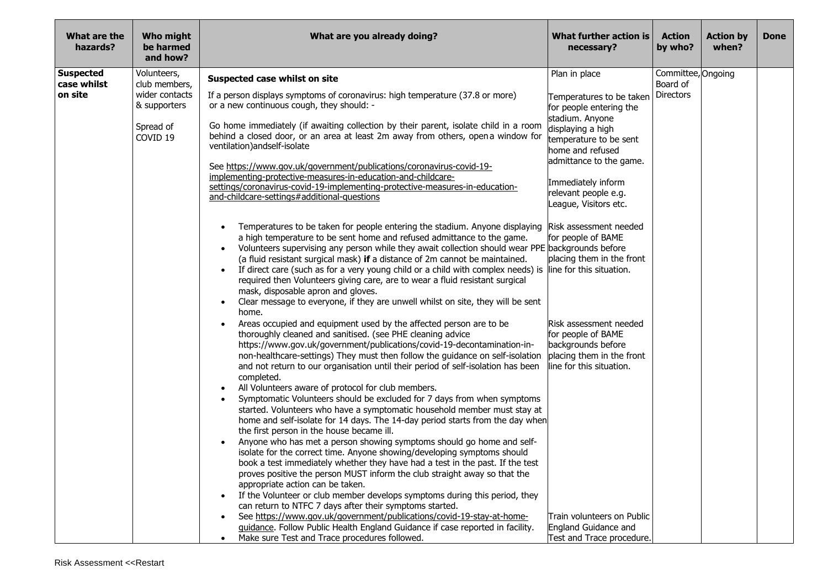| What are the<br>hazards?        | Who might<br>be harmed<br>and how? | What are you already doing?                                                                                                                                                                                                                                                                                                                                                                                                                                                                                                                                                                                                                                                           | What further action is<br>necessary?                                                                                        | <b>Action</b><br>by who?       | <b>Action by</b><br>when? | <b>Done</b> |
|---------------------------------|------------------------------------|---------------------------------------------------------------------------------------------------------------------------------------------------------------------------------------------------------------------------------------------------------------------------------------------------------------------------------------------------------------------------------------------------------------------------------------------------------------------------------------------------------------------------------------------------------------------------------------------------------------------------------------------------------------------------------------|-----------------------------------------------------------------------------------------------------------------------------|--------------------------------|---------------------------|-------------|
| <b>Suspected</b><br>case whilst | Volunteers,<br>club members,       | Suspected case whilst on site                                                                                                                                                                                                                                                                                                                                                                                                                                                                                                                                                                                                                                                         | Plan in place                                                                                                               | Committee, Ongoing<br>Board of |                           |             |
| on site                         | wider contacts<br>& supporters     | If a person displays symptoms of coronavirus: high temperature (37.8 or more)<br>or a new continuous cough, they should: -                                                                                                                                                                                                                                                                                                                                                                                                                                                                                                                                                            | Temperatures to be taken<br>for people entering the<br>stadium. Anyone                                                      | <b>Directors</b>               |                           |             |
|                                 | Spread of<br>COVID <sub>19</sub>   | Go home immediately (if awaiting collection by their parent, isolate child in a room<br>behind a closed door, or an area at least 2m away from others, open a window for<br>ventilation) and self-isolate                                                                                                                                                                                                                                                                                                                                                                                                                                                                             | displaying a high<br>temperature to be sent<br>home and refused                                                             |                                |                           |             |
|                                 |                                    | See https://www.gov.uk/government/publications/coronavirus-covid-19-<br>implementing-protective-measures-in-education-and-childcare-                                                                                                                                                                                                                                                                                                                                                                                                                                                                                                                                                  | admittance to the game.                                                                                                     |                                |                           |             |
|                                 |                                    | settings/coronavirus-covid-19-implementing-protective-measures-in-education-<br>and-childcare-settings#additional-questions                                                                                                                                                                                                                                                                                                                                                                                                                                                                                                                                                           | Immediately inform<br>relevant people e.g.<br>League, Visitors etc.                                                         |                                |                           |             |
|                                 |                                    | Temperatures to be taken for people entering the stadium. Anyone displaying<br>$\bullet$<br>a high temperature to be sent home and refused admittance to the game.<br>Volunteers supervising any person while they await collection should wear PPE backgrounds before<br>$\bullet$<br>(a fluid resistant surgical mask) if a distance of 2m cannot be maintained.<br>If direct care (such as for a very young child or a child with complex needs) is<br>required then Volunteers giving care, are to wear a fluid resistant surgical<br>mask, disposable apron and gloves.<br>Clear message to everyone, if they are unwell whilst on site, they will be sent<br>$\bullet$<br>home. | Risk assessment needed<br>for people of BAME<br>placing them in the front<br>line for this situation.                       |                                |                           |             |
|                                 |                                    | Areas occupied and equipment used by the affected person are to be<br>thoroughly cleaned and sanitised. (see PHE cleaning advice<br>https://www.gov.uk/government/publications/covid-19-decontamination-in-<br>non-healthcare-settings) They must then follow the guidance on self-isolation<br>and not return to our organisation until their period of self-isolation has been<br>completed.                                                                                                                                                                                                                                                                                        | Risk assessment needed<br>for people of BAME<br>backgrounds before<br>placing them in the front<br>line for this situation. |                                |                           |             |
|                                 |                                    | All Volunteers aware of protocol for club members.<br>Symptomatic Volunteers should be excluded for 7 days from when symptoms<br>started. Volunteers who have a symptomatic household member must stay at<br>home and self-isolate for 14 days. The 14-day period starts from the day when<br>the first person in the house became ill.                                                                                                                                                                                                                                                                                                                                               |                                                                                                                             |                                |                           |             |
|                                 |                                    | Anyone who has met a person showing symptoms should go home and self-<br>isolate for the correct time. Anyone showing/developing symptoms should<br>book a test immediately whether they have had a test in the past. If the test<br>proves positive the person MUST inform the club straight away so that the<br>appropriate action can be taken.                                                                                                                                                                                                                                                                                                                                    |                                                                                                                             |                                |                           |             |
|                                 |                                    | If the Volunteer or club member develops symptoms during this period, they<br>$\bullet$<br>can return to NTFC 7 days after their symptoms started.                                                                                                                                                                                                                                                                                                                                                                                                                                                                                                                                    |                                                                                                                             |                                |                           |             |
|                                 |                                    | See https://www.gov.uk/government/publications/covid-19-stay-at-home-<br>quidance. Follow Public Health England Guidance if case reported in facility.                                                                                                                                                                                                                                                                                                                                                                                                                                                                                                                                | Train volunteers on Public<br>England Guidance and                                                                          |                                |                           |             |
|                                 |                                    | Make sure Test and Trace procedures followed.<br>$\bullet$                                                                                                                                                                                                                                                                                                                                                                                                                                                                                                                                                                                                                            | Test and Trace procedure.                                                                                                   |                                |                           |             |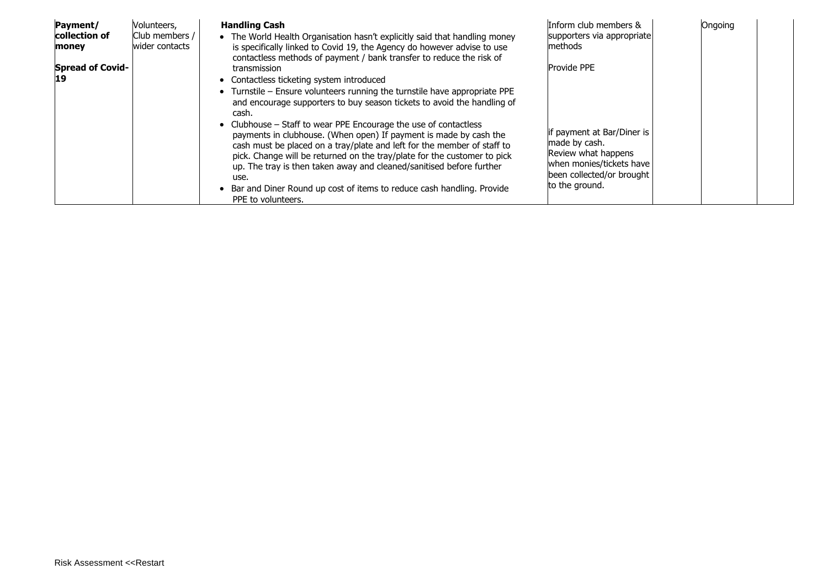| Payment/<br>collection of<br>money<br><b>Spread of Covid-</b><br>19 | Volunteers,<br>Club members /<br>wider contacts | <b>Handling Cash</b><br>• The World Health Organisation hasn't explicitly said that handling money<br>is specifically linked to Covid 19, the Agency do however advise to use<br>contactless methods of payment / bank transfer to reduce the risk of<br>transmission<br>• Contactless ticketing system introduced<br>• Turnstile – Ensure volunteers running the turnstile have appropriate PPE<br>and encourage supporters to buy season tickets to avoid the handling of          | Inform club members &<br>supporters via appropriate<br>methods<br><b>Provide PPE</b>                                                          | Ongoing |  |
|---------------------------------------------------------------------|-------------------------------------------------|--------------------------------------------------------------------------------------------------------------------------------------------------------------------------------------------------------------------------------------------------------------------------------------------------------------------------------------------------------------------------------------------------------------------------------------------------------------------------------------|-----------------------------------------------------------------------------------------------------------------------------------------------|---------|--|
|                                                                     |                                                 | cash.<br>• Clubhouse – Staff to wear PPE Encourage the use of contactless<br>payments in clubhouse. (When open) If payment is made by cash the<br>cash must be placed on a tray/plate and left for the member of staff to<br>pick. Change will be returned on the tray/plate for the customer to pick<br>up. The tray is then taken away and cleaned/sanitised before further<br>use.<br>Bar and Diner Round up cost of items to reduce cash handling. Provide<br>PPE to volunteers. | if payment at Bar/Diner is<br>made by cash.<br>Review what happens<br>when monies/tickets have<br>been collected/or brought<br>to the ground. |         |  |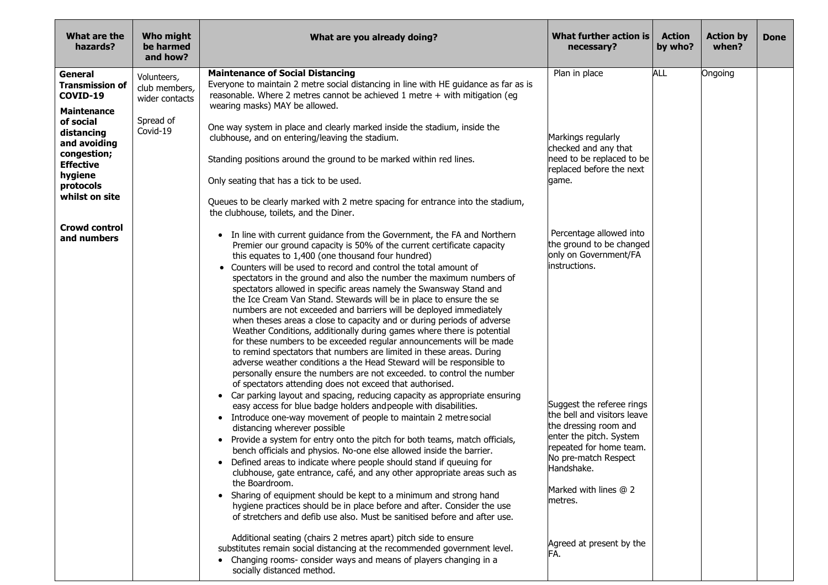| What are the<br>hazards?                                                                                             | Who might<br>be harmed<br>and how?             | What are you already doing?                                                                                                                                                                                                                                                                                                                                                                                                                                                                                                                                                                                                                                                                                                                                                                                                                                                                                                                                                                                                                                                            | What further action is<br>necessary?                                                                                                                                                                              | <b>Action</b><br>by who? | <b>Action by</b><br>when? | <b>Done</b> |
|----------------------------------------------------------------------------------------------------------------------|------------------------------------------------|----------------------------------------------------------------------------------------------------------------------------------------------------------------------------------------------------------------------------------------------------------------------------------------------------------------------------------------------------------------------------------------------------------------------------------------------------------------------------------------------------------------------------------------------------------------------------------------------------------------------------------------------------------------------------------------------------------------------------------------------------------------------------------------------------------------------------------------------------------------------------------------------------------------------------------------------------------------------------------------------------------------------------------------------------------------------------------------|-------------------------------------------------------------------------------------------------------------------------------------------------------------------------------------------------------------------|--------------------------|---------------------------|-------------|
| General<br><b>Transmission of</b><br>COVID-19<br><b>Maintenance</b>                                                  | Volunteers,<br>club members,<br>wider contacts | <b>Maintenance of Social Distancing</b><br>Everyone to maintain 2 metre social distancing in line with HE guidance as far as is<br>reasonable. Where 2 metres cannot be achieved 1 metre + with mitigation (eg<br>wearing masks) MAY be allowed.                                                                                                                                                                                                                                                                                                                                                                                                                                                                                                                                                                                                                                                                                                                                                                                                                                       | Plan in place                                                                                                                                                                                                     | <b>ALL</b>               | Ongoing                   |             |
| of social<br>distancing<br>and avoiding<br>congestion;<br><b>Effective</b><br>hygiene<br>protocols<br>whilst on site | Spread of<br>Covid-19                          | One way system in place and clearly marked inside the stadium, inside the<br>clubhouse, and on entering/leaving the stadium.<br>Standing positions around the ground to be marked within red lines.<br>Only seating that has a tick to be used.<br>Queues to be clearly marked with 2 metre spacing for entrance into the stadium,<br>the clubhouse, toilets, and the Diner.                                                                                                                                                                                                                                                                                                                                                                                                                                                                                                                                                                                                                                                                                                           | Markings regularly<br>checked and any that<br>need to be replaced to be<br>replaced before the next<br>qame.                                                                                                      |                          |                           |             |
| <b>Crowd control</b><br>and numbers                                                                                  |                                                | • In line with current guidance from the Government, the FA and Northern<br>Premier our ground capacity is 50% of the current certificate capacity<br>this equates to 1,400 (one thousand four hundred)<br>• Counters will be used to record and control the total amount of<br>spectators in the ground and also the number the maximum numbers of<br>spectators allowed in specific areas namely the Swansway Stand and<br>the Ice Cream Van Stand. Stewards will be in place to ensure the se<br>numbers are not exceeded and barriers will be deployed immediately<br>when theses areas a close to capacity and or during periods of adverse<br>Weather Conditions, additionally during games where there is potential<br>for these numbers to be exceeded regular announcements will be made<br>to remind spectators that numbers are limited in these areas. During<br>adverse weather conditions a the Head Steward will be responsible to<br>personally ensure the numbers are not exceeded. to control the number<br>of spectators attending does not exceed that authorised. | Percentage allowed into<br>the ground to be changed<br>only on Government/FA<br>instructions.                                                                                                                     |                          |                           |             |
|                                                                                                                      |                                                | • Car parking layout and spacing, reducing capacity as appropriate ensuring<br>easy access for blue badge holders and people with disabilities.<br>• Introduce one-way movement of people to maintain 2 metre social<br>distancing wherever possible<br>Provide a system for entry onto the pitch for both teams, match officials,<br>bench officials and physios. No-one else allowed inside the barrier.<br>Defined areas to indicate where people should stand if queuing for<br>clubhouse, gate entrance, café, and any other appropriate areas such as<br>the Boardroom.<br>• Sharing of equipment should be kept to a minimum and strong hand<br>hygiene practices should be in place before and after. Consider the use<br>of stretchers and defib use also. Must be sanitised before and after use.                                                                                                                                                                                                                                                                            | Suggest the referee rings<br>the bell and visitors leave<br>the dressing room and<br>enter the pitch. System<br>repeated for home team.<br>No pre-match Respect<br>Handshake.<br>Marked with lines @ 2<br>metres. |                          |                           |             |
|                                                                                                                      |                                                | Additional seating (chairs 2 metres apart) pitch side to ensure<br>substitutes remain social distancing at the recommended government level.<br>• Changing rooms- consider ways and means of players changing in a<br>socially distanced method.                                                                                                                                                                                                                                                                                                                                                                                                                                                                                                                                                                                                                                                                                                                                                                                                                                       | Agreed at present by the<br>FA.                                                                                                                                                                                   |                          |                           |             |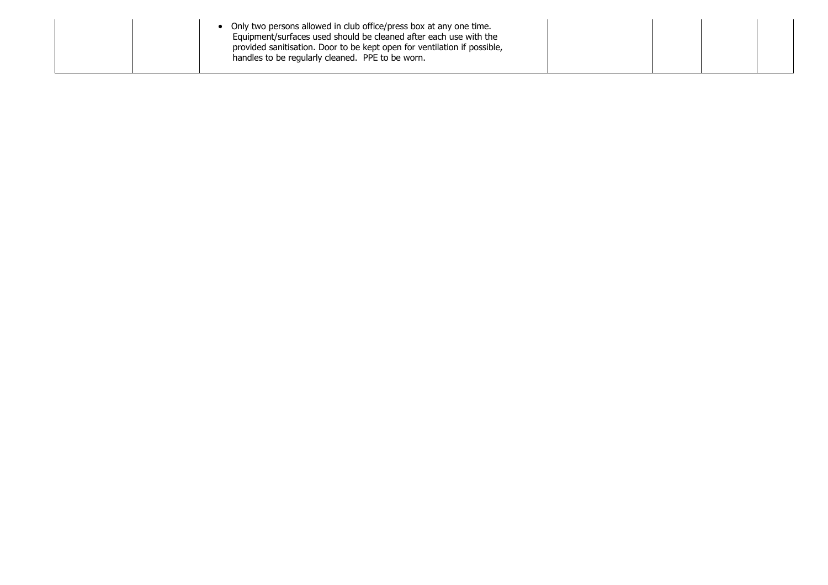| Only two persons allowed in club office/press box at any one time.<br>Equipment/surfaces used should be cleaned after each use with the<br>provided sanitisation. Door to be kept open for ventilation if possible,<br>handles to be regularly cleaned. PPE to be worn. |  |  |  |  |  |
|-------------------------------------------------------------------------------------------------------------------------------------------------------------------------------------------------------------------------------------------------------------------------|--|--|--|--|--|
|-------------------------------------------------------------------------------------------------------------------------------------------------------------------------------------------------------------------------------------------------------------------------|--|--|--|--|--|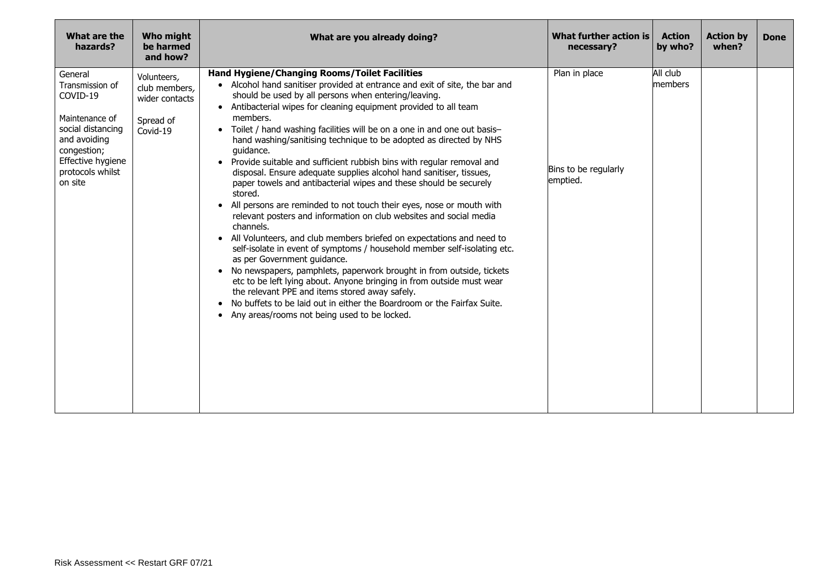| What are the<br>hazards?                                                                                                                                         | <b>Who might</b><br>be harmed<br>and how?                               | What are you already doing?                                                                                                                                                                                                                                                                                                                                                                                                                                                                                                                                                                                                                                                                                                                                                                                                                                                                                                                                                                                                                                                                                                                                                                                                                                                                                                                                                                  | What further action is<br>necessary?              | <b>Action</b><br>by who? | <b>Action by</b><br>when? | <b>Done</b> |
|------------------------------------------------------------------------------------------------------------------------------------------------------------------|-------------------------------------------------------------------------|----------------------------------------------------------------------------------------------------------------------------------------------------------------------------------------------------------------------------------------------------------------------------------------------------------------------------------------------------------------------------------------------------------------------------------------------------------------------------------------------------------------------------------------------------------------------------------------------------------------------------------------------------------------------------------------------------------------------------------------------------------------------------------------------------------------------------------------------------------------------------------------------------------------------------------------------------------------------------------------------------------------------------------------------------------------------------------------------------------------------------------------------------------------------------------------------------------------------------------------------------------------------------------------------------------------------------------------------------------------------------------------------|---------------------------------------------------|--------------------------|---------------------------|-------------|
| General<br>Transmission of<br>COVID-19<br>Maintenance of<br>social distancing<br>and avoiding<br>congestion;<br>Effective hygiene<br>protocols whilst<br>on site | Volunteers,<br>club members,<br>wider contacts<br>Spread of<br>Covid-19 | Hand Hygiene/Changing Rooms/Toilet Facilities<br>• Alcohol hand sanitiser provided at entrance and exit of site, the bar and<br>should be used by all persons when entering/leaving.<br>• Antibacterial wipes for cleaning equipment provided to all team<br>members.<br>Toilet / hand washing facilities will be on a one in and one out basis-<br>$\bullet$<br>hand washing/sanitising technique to be adopted as directed by NHS<br>quidance.<br>• Provide suitable and sufficient rubbish bins with regular removal and<br>disposal. Ensure adequate supplies alcohol hand sanitiser, tissues,<br>paper towels and antibacterial wipes and these should be securely<br>stored.<br>All persons are reminded to not touch their eyes, nose or mouth with<br>$\bullet$<br>relevant posters and information on club websites and social media<br>channels.<br>All Volunteers, and club members briefed on expectations and need to<br>$\bullet$<br>self-isolate in event of symptoms / household member self-isolating etc.<br>as per Government guidance.<br>• No newspapers, pamphlets, paperwork brought in from outside, tickets<br>etc to be left lying about. Anyone bringing in from outside must wear<br>the relevant PPE and items stored away safely.<br>No buffets to be laid out in either the Boardroom or the Fairfax Suite.<br>• Any areas/rooms not being used to be locked. | Plan in place<br>Bins to be regularly<br>emptied. | All club<br>members      |                           |             |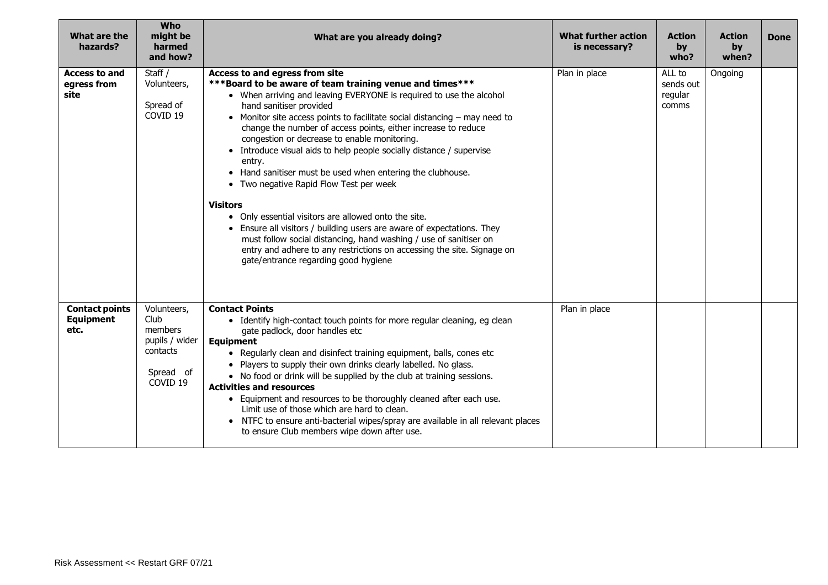| What are the<br>hazards?                          | <b>Who</b><br>might be<br>harmed<br>and how?                                                     | What are you already doing?                                                                                                                                                                                                                                                                                                                                                                                                                                                                                                                                                                                                                                                                                                                                                                                                                                                                                                         | <b>What further action</b><br>is necessary? | <b>Action</b><br>by<br>who?             | <b>Action</b><br>by<br>when? | <b>Done</b> |
|---------------------------------------------------|--------------------------------------------------------------------------------------------------|-------------------------------------------------------------------------------------------------------------------------------------------------------------------------------------------------------------------------------------------------------------------------------------------------------------------------------------------------------------------------------------------------------------------------------------------------------------------------------------------------------------------------------------------------------------------------------------------------------------------------------------------------------------------------------------------------------------------------------------------------------------------------------------------------------------------------------------------------------------------------------------------------------------------------------------|---------------------------------------------|-----------------------------------------|------------------------------|-------------|
| <b>Access to and</b><br>egress from<br>site       | Staff /<br>Volunteers,<br>Spread of<br>COVID <sub>19</sub>                                       | Access to and egress from site<br>*** Board to be aware of team training venue and times***<br>• When arriving and leaving EVERYONE is required to use the alcohol<br>hand sanitiser provided<br>• Monitor site access points to facilitate social distancing – may need to<br>change the number of access points, either increase to reduce<br>congestion or decrease to enable monitoring.<br>• Introduce visual aids to help people socially distance / supervise<br>entry.<br>• Hand sanitiser must be used when entering the clubhouse.<br>• Two negative Rapid Flow Test per week<br><b>Visitors</b><br>• Only essential visitors are allowed onto the site.<br>• Ensure all visitors / building users are aware of expectations. They<br>must follow social distancing, hand washing / use of sanitiser on<br>entry and adhere to any restrictions on accessing the site. Signage on<br>gate/entrance regarding good hygiene | Plan in place                               | ALL to<br>sends out<br>regular<br>comms | Ongoing                      |             |
| <b>Contact points</b><br><b>Equipment</b><br>etc. | Volunteers,<br>Club<br>members<br>pupils / wider<br>contacts<br>Spread of<br>COVID <sub>19</sub> | <b>Contact Points</b><br>• Identify high-contact touch points for more regular cleaning, eg clean<br>gate padlock, door handles etc<br><b>Equipment</b><br>• Regularly clean and disinfect training equipment, balls, cones etc<br>• Players to supply their own drinks clearly labelled. No glass.<br>• No food or drink will be supplied by the club at training sessions.<br><b>Activities and resources</b><br>• Equipment and resources to be thoroughly cleaned after each use.<br>Limit use of those which are hard to clean.<br>• NTFC to ensure anti-bacterial wipes/spray are available in all relevant places<br>to ensure Club members wipe down after use.                                                                                                                                                                                                                                                             | Plan in place                               |                                         |                              |             |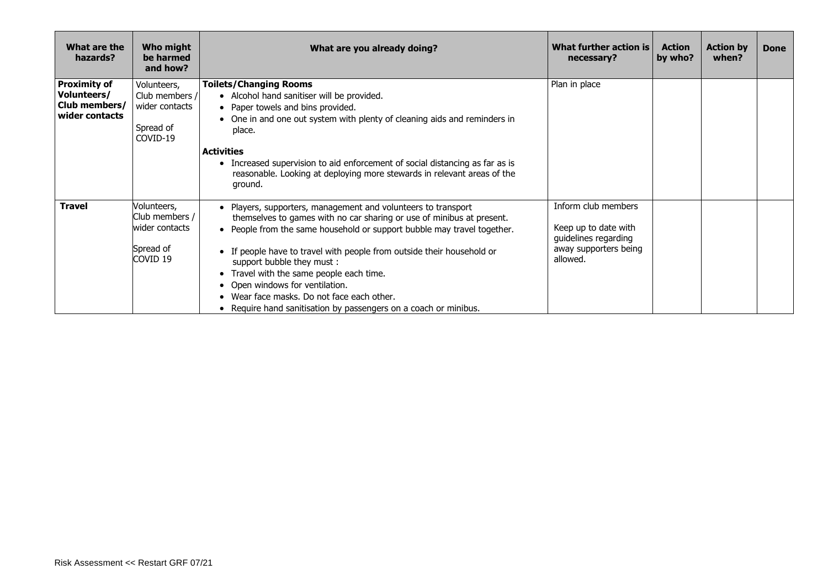| What are the<br>hazards?                                              | Who might<br>be harmed<br>and how?                                         | What are you already doing?                                                                                                                                                                                                                                                                                                                                                                                                                                                                                               | What further action is<br>necessary?                                                                     | <b>Action</b><br>by who? | <b>Action by</b><br>when? | <b>Done</b> |
|-----------------------------------------------------------------------|----------------------------------------------------------------------------|---------------------------------------------------------------------------------------------------------------------------------------------------------------------------------------------------------------------------------------------------------------------------------------------------------------------------------------------------------------------------------------------------------------------------------------------------------------------------------------------------------------------------|----------------------------------------------------------------------------------------------------------|--------------------------|---------------------------|-------------|
| <b>Proximity of</b><br>Volunteers/<br>Club members/<br>wider contacts | Volunteers,<br>Club members /<br>wider contacts<br>Spread of<br>COVID-19   | <b>Toilets/Changing Rooms</b><br>• Alcohol hand sanitiser will be provided.<br>• Paper towels and bins provided.<br>• One in and one out system with plenty of cleaning aids and reminders in<br>place.<br><b>Activities</b>                                                                                                                                                                                                                                                                                              | Plan in place                                                                                            |                          |                           |             |
|                                                                       |                                                                            | • Increased supervision to aid enforcement of social distancing as far as is<br>reasonable. Looking at deploying more stewards in relevant areas of the<br>ground.                                                                                                                                                                                                                                                                                                                                                        |                                                                                                          |                          |                           |             |
| <b>Travel</b>                                                         | Volunteers,<br>Club members /<br>lwider contacts<br>Spread of<br>icovid 19 | • Players, supporters, management and volunteers to transport<br>themselves to games with no car sharing or use of minibus at present.<br>• People from the same household or support bubble may travel together.<br>• If people have to travel with people from outside their household or<br>support bubble they must:<br>• Travel with the same people each time.<br>• Open windows for ventilation.<br>• Wear face masks. Do not face each other.<br>• Require hand sanitisation by passengers on a coach or minibus. | Inform club members<br>Keep up to date with<br>guidelines regarding<br>away supporters being<br>allowed. |                          |                           |             |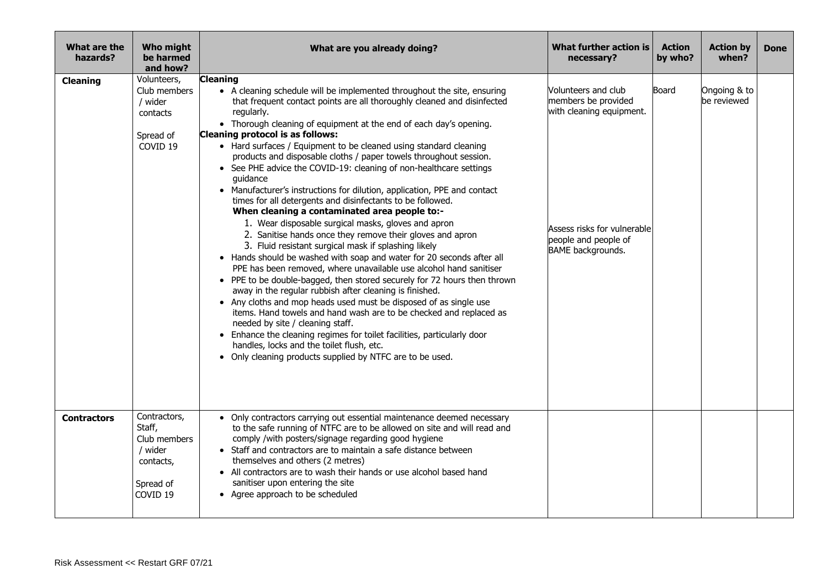| What are the<br>hazards? | Who might<br>be harmed<br>and how?                                                                 | What are you already doing?                                                                                                                                                                                                                                                                                                                                                                                                                                                                                                                                                                                                                                                                                                                                                                                                                                                                                                                                                                                                                                                                                                                                                                                                                                                                                                                                                                                                                                                                                                                                | What further action is<br>necessary?                                                                                                               | <b>Action</b><br>by who? | <b>Action by</b><br>when?   | <b>Done</b> |
|--------------------------|----------------------------------------------------------------------------------------------------|------------------------------------------------------------------------------------------------------------------------------------------------------------------------------------------------------------------------------------------------------------------------------------------------------------------------------------------------------------------------------------------------------------------------------------------------------------------------------------------------------------------------------------------------------------------------------------------------------------------------------------------------------------------------------------------------------------------------------------------------------------------------------------------------------------------------------------------------------------------------------------------------------------------------------------------------------------------------------------------------------------------------------------------------------------------------------------------------------------------------------------------------------------------------------------------------------------------------------------------------------------------------------------------------------------------------------------------------------------------------------------------------------------------------------------------------------------------------------------------------------------------------------------------------------------|----------------------------------------------------------------------------------------------------------------------------------------------------|--------------------------|-----------------------------|-------------|
| <b>Cleaning</b>          | Volunteers,<br>Club members<br>/ wider<br>contacts<br>Spread of<br>COVID <sub>19</sub>             | <b>Cleaning</b><br>• A cleaning schedule will be implemented throughout the site, ensuring<br>that frequent contact points are all thoroughly cleaned and disinfected<br>regularly.<br>• Thorough cleaning of equipment at the end of each day's opening.<br>Cleaning protocol is as follows:<br>• Hard surfaces / Equipment to be cleaned using standard cleaning<br>products and disposable cloths / paper towels throughout session.<br>• See PHE advice the COVID-19: cleaning of non-healthcare settings<br>quidance<br>• Manufacturer's instructions for dilution, application, PPE and contact<br>times for all detergents and disinfectants to be followed.<br>When cleaning a contaminated area people to:-<br>1. Wear disposable surgical masks, gloves and apron<br>2. Sanitise hands once they remove their gloves and apron<br>3. Fluid resistant surgical mask if splashing likely<br>• Hands should be washed with soap and water for 20 seconds after all<br>PPE has been removed, where unavailable use alcohol hand sanitiser<br>• PPE to be double-bagged, then stored securely for 72 hours then thrown<br>away in the regular rubbish after cleaning is finished.<br>• Any cloths and mop heads used must be disposed of as single use<br>items. Hand towels and hand wash are to be checked and replaced as<br>needed by site / cleaning staff.<br>• Enhance the cleaning regimes for toilet facilities, particularly door<br>handles, locks and the toilet flush, etc.<br>• Only cleaning products supplied by NTFC are to be used. | Volunteers and club<br>members be provided<br>with cleaning equipment.<br>Assess risks for vulnerable<br>people and people of<br>BAME backgrounds. | Board                    | Ongoing & to<br>be reviewed |             |
| <b>Contractors</b>       | Contractors,<br>Staff,<br>Club members<br>/ wider<br>contacts,<br>Spread of<br>COVID <sub>19</sub> | • Only contractors carrying out essential maintenance deemed necessary<br>to the safe running of NTFC are to be allowed on site and will read and<br>comply /with posters/signage regarding good hygiene<br>• Staff and contractors are to maintain a safe distance between<br>themselves and others (2 metres)<br>• All contractors are to wash their hands or use alcohol based hand<br>sanitiser upon entering the site<br>• Agree approach to be scheduled                                                                                                                                                                                                                                                                                                                                                                                                                                                                                                                                                                                                                                                                                                                                                                                                                                                                                                                                                                                                                                                                                             |                                                                                                                                                    |                          |                             |             |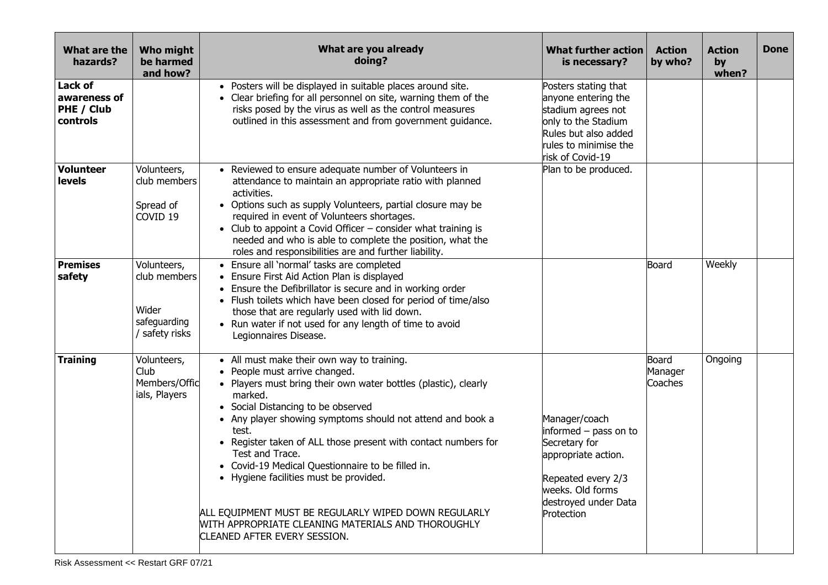| What are the<br>hazards?                          | Who might<br>be harmed<br>and how?                                   | What are you already<br>doing?                                                                                                                                                                                                                                                                                                                                                                                                                                                                                                                                                                           | <b>What further action</b><br>is necessary?                                                                                                                    | <b>Action</b><br>by who?    | <b>Action</b><br>by<br>when? | <b>Done</b> |
|---------------------------------------------------|----------------------------------------------------------------------|----------------------------------------------------------------------------------------------------------------------------------------------------------------------------------------------------------------------------------------------------------------------------------------------------------------------------------------------------------------------------------------------------------------------------------------------------------------------------------------------------------------------------------------------------------------------------------------------------------|----------------------------------------------------------------------------------------------------------------------------------------------------------------|-----------------------------|------------------------------|-------------|
| Lack of<br>awareness of<br>PHE / Club<br>controls |                                                                      | • Posters will be displayed in suitable places around site.<br>• Clear briefing for all personnel on site, warning them of the<br>risks posed by the virus as well as the control measures<br>outlined in this assessment and from government guidance.                                                                                                                                                                                                                                                                                                                                                  | Posters stating that<br>anyone entering the<br>stadium agrees not<br>only to the Stadium<br>Rules but also added<br>rules to minimise the<br>risk of Covid-19  |                             |                              |             |
| <b>Volunteer</b><br>levels                        | Volunteers,<br>club members<br>Spread of<br>COVID <sub>19</sub>      | • Reviewed to ensure adequate number of Volunteers in<br>attendance to maintain an appropriate ratio with planned<br>activities.<br>• Options such as supply Volunteers, partial closure may be<br>required in event of Volunteers shortages.<br>• Club to appoint a Covid Officer - consider what training is<br>needed and who is able to complete the position, what the<br>roles and responsibilities are and further liability.                                                                                                                                                                     | Plan to be produced.                                                                                                                                           |                             |                              |             |
| <b>Premises</b><br>safety                         | Volunteers,<br>club members<br>Wider<br>safeguarding<br>safety risks | • Ensure all 'normal' tasks are completed<br>• Ensure First Aid Action Plan is displayed<br>• Ensure the Defibrillator is secure and in working order<br>• Flush toilets which have been closed for period of time/also<br>those that are regularly used with lid down.<br>• Run water if not used for any length of time to avoid<br>Legionnaires Disease.                                                                                                                                                                                                                                              |                                                                                                                                                                | Board                       | Weekly                       |             |
| <b>Training</b>                                   | Volunteers,<br>Club<br>Members/Offic<br>ials, Players                | • All must make their own way to training.<br>• People must arrive changed.<br>• Players must bring their own water bottles (plastic), clearly<br>marked.<br>• Social Distancing to be observed<br>• Any player showing symptoms should not attend and book a<br>test.<br>• Register taken of ALL those present with contact numbers for<br>Test and Trace.<br>• Covid-19 Medical Questionnaire to be filled in.<br>• Hygiene facilities must be provided.<br>ALL EQUIPMENT MUST BE REGULARLY WIPED DOWN REGULARLY<br>WITH APPROPRIATE CLEANING MATERIALS AND THOROUGHLY<br>CLEANED AFTER EVERY SESSION. | Manager/coach<br>informed – pass on to<br>Secretary for<br>appropriate action.<br>Repeated every 2/3<br>weeks. Old forms<br>destroyed under Data<br>Protection | Board<br>Manager<br>Coaches | Ongoing                      |             |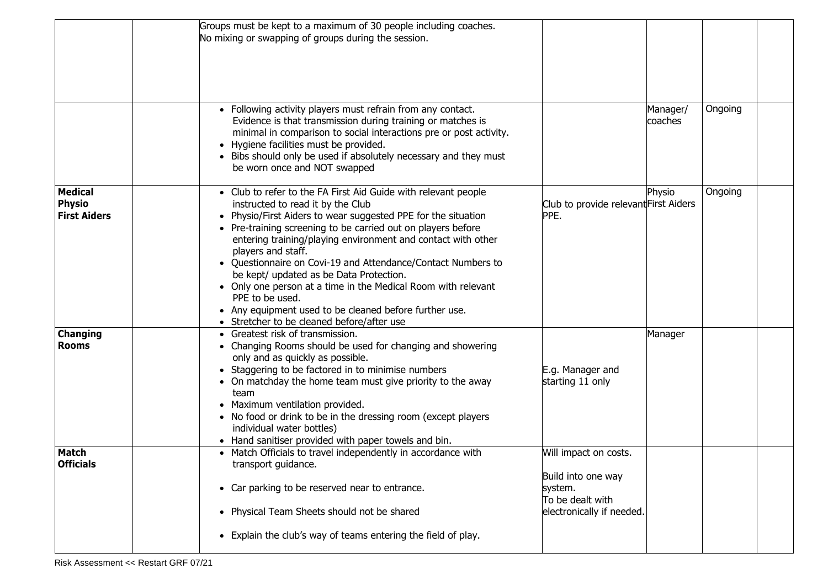|                                                        | Groups must be kept to a maximum of 30 people including coaches.<br>No mixing or swapping of groups during the session.                                                                                                                                                                                                                                                                                                                                                                                                                                                                                                           |                                                                                                         |                     |         |  |
|--------------------------------------------------------|-----------------------------------------------------------------------------------------------------------------------------------------------------------------------------------------------------------------------------------------------------------------------------------------------------------------------------------------------------------------------------------------------------------------------------------------------------------------------------------------------------------------------------------------------------------------------------------------------------------------------------------|---------------------------------------------------------------------------------------------------------|---------------------|---------|--|
|                                                        | • Following activity players must refrain from any contact.<br>Evidence is that transmission during training or matches is<br>minimal in comparison to social interactions pre or post activity.<br>• Hygiene facilities must be provided.<br>• Bibs should only be used if absolutely necessary and they must<br>be worn once and NOT swapped                                                                                                                                                                                                                                                                                    |                                                                                                         | Manager/<br>coaches | Ongoing |  |
| <b>Medical</b><br><b>Physio</b><br><b>First Aiders</b> | • Club to refer to the FA First Aid Guide with relevant people<br>instructed to read it by the Club<br>• Physio/First Aiders to wear suggested PPE for the situation<br>• Pre-training screening to be carried out on players before<br>entering training/playing environment and contact with other<br>players and staff.<br>• Questionnaire on Covi-19 and Attendance/Contact Numbers to<br>be kept/ updated as be Data Protection.<br>• Only one person at a time in the Medical Room with relevant<br>PPE to be used.<br>• Any equipment used to be cleaned before further use.<br>• Stretcher to be cleaned before/after use | Club to provide relevant First Aiders<br>PPE.                                                           | Physio              | Ongoing |  |
| <b>Changing</b><br><b>Rooms</b>                        | • Greatest risk of transmission.<br>• Changing Rooms should be used for changing and showering<br>only and as quickly as possible.<br>• Staggering to be factored in to minimise numbers<br>• On matchday the home team must give priority to the away<br>team<br>• Maximum ventilation provided.<br>• No food or drink to be in the dressing room (except players<br>individual water bottles)<br>• Hand sanitiser provided with paper towels and bin.                                                                                                                                                                           | E.g. Manager and<br>starting 11 only                                                                    | Manager             |         |  |
| <b>Match</b><br><b>Officials</b>                       | • Match Officials to travel independently in accordance with<br>transport guidance.<br>• Car parking to be reserved near to entrance.<br>• Physical Team Sheets should not be shared<br>• Explain the club's way of teams entering the field of play.                                                                                                                                                                                                                                                                                                                                                                             | Will impact on costs.<br>Build into one way<br>system.<br>To be dealt with<br>electronically if needed. |                     |         |  |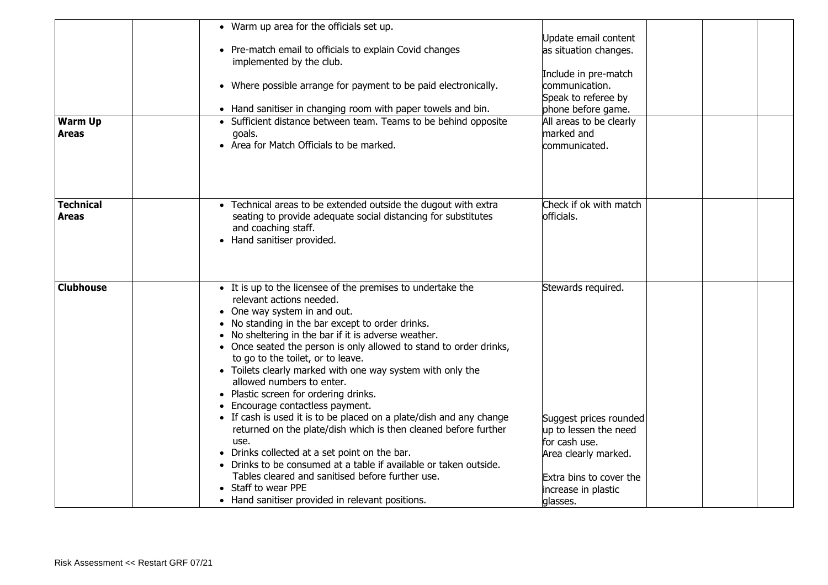| <b>Warm Up</b><br><b>Areas</b>   | • Warm up area for the officials set up.<br>• Pre-match email to officials to explain Covid changes<br>implemented by the club.<br>• Where possible arrange for payment to be paid electronically.<br>• Hand sanitiser in changing room with paper towels and bin.<br>• Sufficient distance between team. Teams to be behind opposite<br>goals.<br>• Area for Match Officials to be marked.                                                                                                                                                                                                                                                                                                                                                                                                                                                                                                                                   | Update email content<br>as situation changes.<br>Include in pre-match<br>communication.<br>Speak to referee by<br>phone before game.<br>All areas to be clearly<br>marked and<br>communicated. |  |
|----------------------------------|-------------------------------------------------------------------------------------------------------------------------------------------------------------------------------------------------------------------------------------------------------------------------------------------------------------------------------------------------------------------------------------------------------------------------------------------------------------------------------------------------------------------------------------------------------------------------------------------------------------------------------------------------------------------------------------------------------------------------------------------------------------------------------------------------------------------------------------------------------------------------------------------------------------------------------|------------------------------------------------------------------------------------------------------------------------------------------------------------------------------------------------|--|
| <b>Technical</b><br><b>Areas</b> | • Technical areas to be extended outside the dugout with extra<br>seating to provide adequate social distancing for substitutes<br>and coaching staff.<br>• Hand sanitiser provided.                                                                                                                                                                                                                                                                                                                                                                                                                                                                                                                                                                                                                                                                                                                                          | Check if ok with match<br>officials.                                                                                                                                                           |  |
| <b>Clubhouse</b>                 | • It is up to the licensee of the premises to undertake the<br>relevant actions needed.<br>• One way system in and out.<br>• No standing in the bar except to order drinks.<br>• No sheltering in the bar if it is adverse weather.<br>• Once seated the person is only allowed to stand to order drinks,<br>to go to the toilet, or to leave.<br>• Toilets clearly marked with one way system with only the<br>allowed numbers to enter.<br>• Plastic screen for ordering drinks.<br>• Encourage contactless payment.<br>• If cash is used it is to be placed on a plate/dish and any change<br>returned on the plate/dish which is then cleaned before further<br>use.<br>• Drinks collected at a set point on the bar.<br>• Drinks to be consumed at a table if available or taken outside.<br>Tables cleared and sanitised before further use.<br>• Staff to wear PPE<br>• Hand sanitiser provided in relevant positions. | Stewards required.<br>Suggest prices rounded<br>up to lessen the need<br>for cash use.<br>Area clearly marked.<br>Extra bins to cover the<br>increase in plastic<br>glasses.                   |  |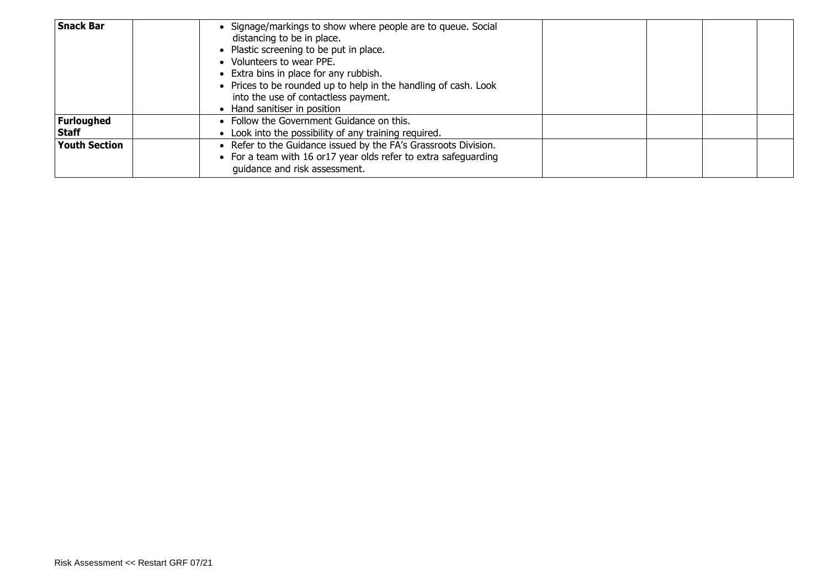| <b>Snack Bar</b>                  | • Signage/markings to show where people are to queue. Social<br>distancing to be in place.<br>• Plastic screening to be put in place.<br>• Volunteers to wear PPE.<br>• Extra bins in place for any rubbish.<br>• Prices to be rounded up to help in the handling of cash. Look<br>into the use of contactless payment.<br>• Hand sanitiser in position |  |  |
|-----------------------------------|---------------------------------------------------------------------------------------------------------------------------------------------------------------------------------------------------------------------------------------------------------------------------------------------------------------------------------------------------------|--|--|
| <b>Furloughed</b><br><b>Staff</b> | • Follow the Government Guidance on this.<br>• Look into the possibility of any training required.                                                                                                                                                                                                                                                      |  |  |
| <b>Youth Section</b>              | • Refer to the Guidance issued by the FA's Grassroots Division.<br>• For a team with 16 or 17 year olds refer to extra safequarding<br>guidance and risk assessment.                                                                                                                                                                                    |  |  |